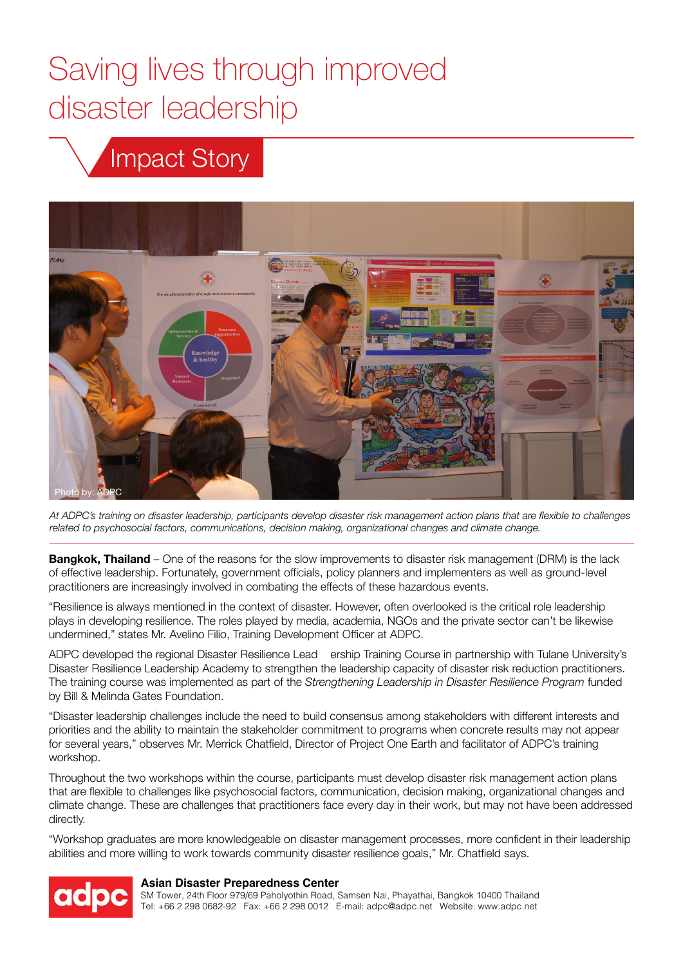# Saving lives through improved disaster leadership

# Impact Story



*At ADPC's training on disaster leadership, participants develop disaster risk management action plans that are flexible to challenges related to psychosocial factors, communications, decision making, organizational changes and climate change.*

**Bangkok, Thailand** – One of the reasons for the slow improvements to disaster risk management (DRM) is the lack of effective leadership. Fortunately, government officials, policy planners and implementers as well as ground-level practitioners are increasingly involved in combating the effects of these hazardous events.

"Resilience is always mentioned in the context of disaster. However, often overlooked is the critical role leadership plays in developing resilience. The roles played by media, academia, NGOs and the private sector can't be likewise undermined," states Mr. Avelino Filio, Training Development Officer at ADPC.

ADPC developed the regional Disaster Resilience Lead ership Training Course in partnership with Tulane University's Disaster Resilience Leadership Academy to strengthen the leadership capacity of disaster risk reduction practitioners. The training course was implemented as part of the *Strengthening Leadership in Disaster Resilience Program* funded by Bill & Melinda Gates Foundation.

"Disaster leadership challenges include the need to build consensus among stakeholders with different interests and priorities and the ability to maintain the stakeholder commitment to programs when concrete results may not appear for several years," observes Mr. Merrick Chatfield, Director of Project One Earth and facilitator of ADPC's training workshop.

Throughout the two workshops within the course, participants must develop disaster risk management action plans that are flexible to challenges like psychosocial factors, communication, decision making, organizational changes and climate change. These are challenges that practitioners face every day in their work, but may not have been addressed directly.

"Workshop graduates are more knowledgeable on disaster management processes, more confident in their leadership abilities and more willing to work towards community disaster resilience goals," Mr. Chatfield says.



### **Asian Disaster Preparedness Center**

SM Tower, 24th Floor 979/69 Paholyothin Road, Samsen Nai, Phayathai, Bangkok 10400 Thailand Tel: +66 2 298 0682-92 Fax: +66 2 298 0012 E-mail: adpc@adpc.net Website: www.adpc.net